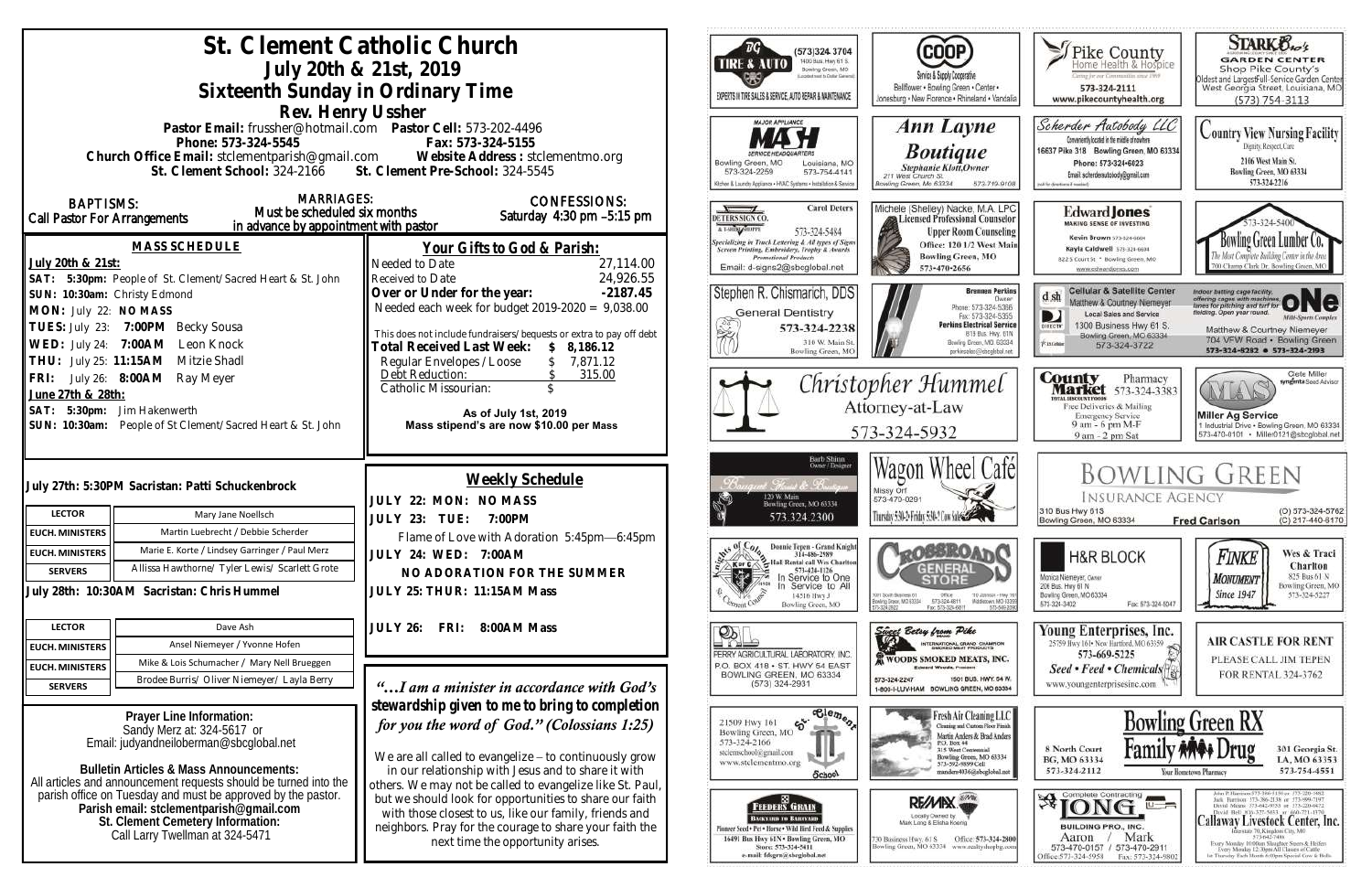|                                                                                                                                  | St. Clement Catholic Church                                                                      | July 20th & 21st, 2019                                                                                            | ТG<br>(573)324 3704<br>1400 Bus. Hwy 61 S.<br><b>TIRE &amp; AUTO</b><br>Bowling Green, MO                                                |                                                                                                                                                          |
|----------------------------------------------------------------------------------------------------------------------------------|--------------------------------------------------------------------------------------------------|-------------------------------------------------------------------------------------------------------------------|------------------------------------------------------------------------------------------------------------------------------------------|----------------------------------------------------------------------------------------------------------------------------------------------------------|
|                                                                                                                                  | Sixteenth Sunday in Ordinary Time                                                                |                                                                                                                   | EXPERTS IN TIRE SALES & SERVICE, AUTO REPAIR & MAINTENANCE                                                                               | Service & Supply Cooperative<br>Bellflower . Bowling Green . Center .<br>Jonesburg . New Florence . Rhineland . Vandal                                   |
|                                                                                                                                  | Rev. Henry Ussher<br>Pastor Email: frussher@hotmail.com    Pastor Cell: 573-202-4496             |                                                                                                                   |                                                                                                                                          |                                                                                                                                                          |
|                                                                                                                                  |                                                                                                  |                                                                                                                   | <b>MAJOR APPLIANCE</b>                                                                                                                   | <b>Ann Layne</b>                                                                                                                                         |
|                                                                                                                                  | Phone: 573-324-5545                                                                              | Fax: 573-324-5155<br>Church Office Email: stclementparish@gmail.com Website Address : stclementmo.org             |                                                                                                                                          | <b>Boutique</b>                                                                                                                                          |
|                                                                                                                                  | St. Clement School: 324-2166 St. Clement Pre-School: 324-5545                                    |                                                                                                                   | Bowling Green, MO<br>Louisiana, MO<br>573-324-2259<br>573-754-4141<br>Glohen & Laundry Appliance . HVAC Systems . Installation & Service | Stephanie Klott, Owner<br>211 West Church St.<br>Bowling Green, Mo 63334<br>573-719-910                                                                  |
| <b>BAPTISMS:</b>                                                                                                                 | <b>MARRIAGES:</b><br>Must be scheduled six months                                                | <b>CONFESSIONS:</b>                                                                                               | <b>Carol Deters</b><br>$\sqrt{ }$                                                                                                        | Michele (Shelley) Nacke, M.A. LP(                                                                                                                        |
| <b>Call Pastor For Arrangements</b>                                                                                              | in advance by appointment with pastor                                                            | Saturday 4:30 pm -5:15 pm                                                                                         | DETERS SIGN CO.<br>A T-SHINLORPE<br>573-324-5484                                                                                         | <b>A Licensed Professional Counselo</b><br><b>Upper Room Counseling</b>                                                                                  |
|                                                                                                                                  | <b>MASS SCHEDULE</b>                                                                             | <u>Your Gifts to God &amp; Parish:</u>                                                                            | pecializing in Truck Lettering & All types of Signs<br>Screen Printing, Embroidery, Trophy & Awards                                      | Office: 120 1/2 West Mai                                                                                                                                 |
| July 20th & 21st:                                                                                                                |                                                                                                  | 27,114.00<br>Needed to Date                                                                                       | <b>Promotional Products</b><br>Email: d-signs2@sbcglobal.net                                                                             | <b>Bowling Green, MO</b><br>573-470-2656                                                                                                                 |
|                                                                                                                                  | SAT: 5:30pm: People of St. Clement/Sacred Heart & St. John                                       | 24,926.55<br>Received to Date                                                                                     |                                                                                                                                          | <b>Brennen Perkin</b>                                                                                                                                    |
| SUN: 10:30am: Christy Edmond<br>MON: July 22: NO MASS                                                                            |                                                                                                  | Over or Under for the year:<br>$-2187.45$<br>Needed each week for budget $2019-2020 = 9,038.00$                   | Stephen R. Chismarich, DDS                                                                                                               | <b>Dwner</b><br>Phone: 573-324-5366                                                                                                                      |
|                                                                                                                                  | TUES: July 23: 7:00PM Becky Sousa                                                                |                                                                                                                   | <b>General Dentistry</b><br>573-324-2238                                                                                                 | Fax: 573-324-5355<br><b>Perkins Electrical Servic</b>                                                                                                    |
|                                                                                                                                  | WED: July 24: 7:00AM Leon Knock                                                                  | This does not include fundraisers/bequests or extra to pay off debt<br>Total Received Last Week:<br>\$8,186.12    | 310 W. Main St.                                                                                                                          | B19 Bus. Hwy. 61N<br>Bowling Green, MO. 63334                                                                                                            |
|                                                                                                                                  | THU: July 25: 11:15AM Mitzie Shadl                                                               | Regular Envelopes / Loose<br>7,871.12                                                                             | Bowling Green, MC                                                                                                                        | perkinselec@ishcolobal.net                                                                                                                               |
|                                                                                                                                  | FRI: July 26: 8:00AM Ray Meyer                                                                   | Debt Reduction:<br>315.00<br>Catholic Missourian:                                                                 |                                                                                                                                          | Christopher Hummel                                                                                                                                       |
| June 27th & 28th:                                                                                                                |                                                                                                  | Attorney-at-Law                                                                                                   |                                                                                                                                          |                                                                                                                                                          |
| SAT: 5:30pm: Jim Hakenwerth                                                                                                      | SUN: 10:30am: People of St Clement/Sacred Heart & St. John                                       | As of July 1st, 2019<br>Mass stipend's are now \$10.00 per Mass                                                   |                                                                                                                                          |                                                                                                                                                          |
|                                                                                                                                  |                                                                                                  |                                                                                                                   |                                                                                                                                          | 573-324-5932                                                                                                                                             |
|                                                                                                                                  |                                                                                                  |                                                                                                                   | Barb Shinn<br>Owner/Designer                                                                                                             | Wagon Wheel Cafe                                                                                                                                         |
|                                                                                                                                  | July 27th: 5:30PM Sacristan: Patti Schuckenbrock                                                 | Weekly Schedule                                                                                                   |                                                                                                                                          | Missy Orf                                                                                                                                                |
|                                                                                                                                  |                                                                                                  | JULY 22: MON: NO MASS                                                                                             | Bowling Green, MO 63334                                                                                                                  | 573-470-0291                                                                                                                                             |
| <b>LECTOR</b>                                                                                                                    | Mary Jane Noellsch                                                                               | JULY 23: TUE: 7:00PM                                                                                              | 573.324.2300                                                                                                                             | Thursday 5:30-2 Friday 5:30-2 Cow Sales                                                                                                                  |
| <b>EUCH. MINISTERS</b>                                                                                                           | Martin Luebrecht / Debbie Scherder                                                               | Flame of Love with Adoration 5:45pm-6:45pm                                                                        | Donnie Tepen - Grand Knight                                                                                                              |                                                                                                                                                          |
| <b>EUCH. MINISTERS</b>                                                                                                           | Marie E. Korte / Lindsey Garringer / Paul Merz<br>Allissa Hawthorne/ Tyler Lewis/ Scarlett Grote | <b>JULY 24: WED: 7:00AM</b>                                                                                       | is of Coleg<br>314-486-2989<br>Hall Rental call Wes Charlton<br>K or C                                                                   |                                                                                                                                                          |
| <b>SERVERS</b>                                                                                                                   |                                                                                                  | NO ADORATION FOR THE SUMMER                                                                                       | 573-424-1126<br>In Service to One<br>Service to All                                                                                      |                                                                                                                                                          |
| July 28th: 10:30AM Sacristan: Chris Hummel                                                                                       |                                                                                                  | JULY 25: THUR: 11:15AM Mass                                                                                       | 14516 Hwy J<br>Bowling Green, MO                                                                                                         | 1001 South Business 61<br>Ofice<br>110 Johnson - Hwy<br>Ecwirig Grace, MD 63334<br>Middietown, MD-633<br>573-324-6811<br>Fax: 573-324-6811<br>573-549-20 |
| <b>LECTOR</b>                                                                                                                    | Dave Ash                                                                                         | <b>JULY 26:</b><br>FRI:<br>8:00AM Mass                                                                            |                                                                                                                                          | Sweet Betsy from Pike                                                                                                                                    |
| <b>EUCH. MINISTERS</b>                                                                                                           | Ansel Niemeyer / Yvonne Hofen                                                                    |                                                                                                                   | PERRY AGRICULTURAL LABORATORY, INC.                                                                                                      | <b>TERNATIONAL GRAND CHAMFION</b><br>BMOKED MEAT PRODUCTS<br><b>K WOODS SMOKED MEATS, INC</b>                                                            |
| <b>EUCH. MINISTERS</b>                                                                                                           | Mike & Lois Schumacher / Mary Nell Brueggen                                                      |                                                                                                                   | P.O. BOX 418 . ST. HWY 54 EAST<br>BOWLING GREEN, MO 63334                                                                                | 1501 BUS, HWY, 54 W.                                                                                                                                     |
| <b>SERVERS</b>                                                                                                                   | Brodee Burris/ Oliver Niemeyer/ Layla Berry                                                      | "I am a minister in accordance with God's                                                                         | $(573)$ 324-2931                                                                                                                         | 573-324-2247<br>1-800-I-LUV-HAM BOWLING GREEN, MO 63334                                                                                                  |
|                                                                                                                                  | Prayer Line Information:                                                                         | stewardship given to me to bring to completion                                                                    | $\overline{\text{e}_{\text{e}_{\text{m}}\text{e}_{\text{r}}}}$                                                                           | Fresh Air Cleaning LLC                                                                                                                                   |
| Sandy Merz at: 324-5617 or                                                                                                       |                                                                                                  | for you the word of God." (Colossians 1:25)                                                                       | ళ.<br>21509 Hwy 161<br>Bowling Green, MO                                                                                                 | Cleaning and Custom Floor Finish<br>Martin Anders & Brad Anders                                                                                          |
| Email: judyandneiloberman@sbcglobal.net                                                                                          |                                                                                                  | We are all called to evangelize - to continuously grow                                                            | 573-324-2166<br>stelemschool@gmail.com                                                                                                   | P.O. Box 44<br>315 West Centennial<br>Bowling Green, MO 63334                                                                                            |
|                                                                                                                                  | <b>Bulletin Articles &amp; Mass Announcements:</b>                                               | in our relationship with Jesus and to share it with                                                               | www.stclementmo.org<br>School                                                                                                            | 573-592-9899 Cell<br>manders4036@sbcglobal.net                                                                                                           |
| All articles and announcement requests should be turned into the<br>parish office on Tuesday and must be approved by the pastor. |                                                                                                  | others. We may not be called to evangelize like St. Paul                                                          |                                                                                                                                          |                                                                                                                                                          |
| Parish email: stclementparish@gmail.com                                                                                          |                                                                                                  | but we should look for opportunities to share our faith<br>with those closest to us, like our family, friends and | <b>FEEDERS GRAIN</b>                                                                                                                     | <b>RE/MIX</b><br>Locally Dwned by:                                                                                                                       |
| St. Clement Cemetery Information:<br>Call Larry Twellman at 324-5471                                                             |                                                                                                  | neighbors. Pray for the courage to share your faith the                                                           | Васкулив то Влимулии<br>Finneer Seed + Pet + Horse + Wild Hird Feed & Supplies                                                           | Mark Lang & Elisha Koenig                                                                                                                                |
|                                                                                                                                  |                                                                                                  | next time the opportunity arises.                                                                                 | 16491 Bus Hwy 61N . Bowling Green, MO<br>Store: 573-324-5411<br>e-mail: fdsgrn@sbcglobal.net                                             | Office: 573-324-280<br>30 Business Hwy. 61 S<br>Bowling Green, MO 63334 www.realtyshopbg.com                                                             |
|                                                                                                                                  |                                                                                                  |                                                                                                                   |                                                                                                                                          |                                                                                                                                                          |

| er •<br>· Vandalia                                                                            | Pike County<br>Home Health & Hospice<br>Caring for our Communities since 1969<br>573-324-2111<br>www.pikecountyhealth.org                                                                                                         | <b>STARK Oxo's</b><br><b>GARDEN CENTER</b><br>Shop Pike County's<br>Oldest and Largestfull-Service Garden Center<br>West Georgia Street, Louisiana, MO<br>(573) 754-3113                                                                                                                                                                                                                                                                |  |
|-----------------------------------------------------------------------------------------------|-----------------------------------------------------------------------------------------------------------------------------------------------------------------------------------------------------------------------------------|-----------------------------------------------------------------------------------------------------------------------------------------------------------------------------------------------------------------------------------------------------------------------------------------------------------------------------------------------------------------------------------------------------------------------------------------|--|
| e<br>19-9108                                                                                  | Scherder Autobody<br>Conveniently located in the middle of nowhere.<br>16637 Pike 318 Bowling Green, MO 63334<br>Phone: 573+324+6023<br>Email: scherderautobody@gmail.com<br>Continue 1 anostone for Book                         | Country View Nursing Facility<br>Dignity, Respect, Care<br>2106 West Main St.<br>Bowling Green, MO 63334<br>573-324-2216                                                                                                                                                                                                                                                                                                                |  |
| A. LPC<br>unselor<br>ınseling<br>st Main<br>О                                                 | <b>Edward Jones</b><br>MAKING SENSE OF INVESTING<br>Kevin Brown 573-824-6604<br>Kayla Caldwell 573-324-6604<br>822 S Court St * Bowling Green, MO<br>www.edwardjones.com                                                          | $3 - 324 - 5400$<br>Bowling Green Lumber<br>Most Complete Building Center in the Area<br>00 Champ Clark Dr. Bowling Green, MO                                                                                                                                                                                                                                                                                                           |  |
| n Perkins<br>Dwner<br>24-5366<br>24-5355<br>Il Service<br>Hwy. 61N<br>0.63334<br>.tor.lodolg. | <b>Cellular &amp; Satellite Center</b><br>d sh<br>Matthew & Courtney Niemeyer<br><b>Local Sales and Service</b><br>1300 Business Hwy 61 S.<br>DIRECTI<br>Bowling Green, MO 63334<br><b><i><u>Riafelde</u></i></b><br>573-324-3722 | Indoor batting cage facility,<br>offering cages with machines.<br>tanes for pitching and turf for<br>fielding. Open year round.<br><b>Milli-Sparts Complex</b><br>Matthew & Courtney Niemeyer<br>704 VFW Road · Bowling Green<br>573-324-8282 0 573-324-2193                                                                                                                                                                            |  |
| el                                                                                            | County<br>Pharmacy<br>arket<br>573-324-3383<br><b>TITTAL BISCOUNT POOGS</b><br>Free Deliveries & Mailing<br><b>Emergency Service</b><br>9 am - 6 pm M-F<br>9 am - 2 pm Sat                                                        | Clete Miller<br>syngents Sood Advisor<br><b>Miller Ag Service</b><br>1 Industrial Drive . Bowling Green, MO 63334<br>573-470-0101 · Miller0121@sbcglobal.net                                                                                                                                                                                                                                                                            |  |
| afé                                                                                           | Bowling Green<br><b>INSURANCE AGENCY</b><br>310 Bus Hwy 61S<br>(O) 573-324-5762<br>Bowling Green, MO 63334<br>(C) 217-440-6170<br><b>Fred Carlson</b>                                                                             |                                                                                                                                                                                                                                                                                                                                                                                                                                         |  |
| spe - Hwy 501<br>Art. MD-63359<br>573-549-2090                                                | <b>H&amp;R BLOCK</b><br>Monica Niemeyer, Owser<br>206 Bus. Hwy 61 N<br>Bowling Green, MO 63334<br>573-324-3402<br>Fax: 573-324-5047                                                                                               | Wes & Traci<br>Finke<br>Charlton<br>825 Bus 61 N<br>MONUMENT<br>Bowling Green, MO<br><b>Since 1947</b><br>573-324-5227                                                                                                                                                                                                                                                                                                                  |  |
| MITION<br>15<br>INC.<br>Y. 54 W.<br>0 63334                                                   | Young Enterprises, Inc.<br>25759 Hwy 161 . New Hartford, MO 63359<br>573-669-5225<br>Seed • Feed • Chemicals<br>www.youngenterprisesinc.com                                                                                       | <b>AIR CASTLE FOR RENT</b><br>PLEASE CALL JIM TEPEN<br><b>FOR RENTAL 324-3762</b>                                                                                                                                                                                                                                                                                                                                                       |  |
| ig LLC<br>oor Finish<br>d Anders<br>63334<br>lobal net                                        | <b>Hami</b><br>8 North Court<br>BG, MO 63334<br>573-324-2112                                                                                                                                                                      | <b>Bowling Green RX</b><br>rug<br>301 Georgia St.<br>LA, MO 63353<br>573-754-4551<br>Your Hometown Pharmacy                                                                                                                                                                                                                                                                                                                             |  |
| 324-2800<br>mos.uduo                                                                          | Complete Contracting<br>l∏⊣<br><b>BUILDING PRO., INC.</b><br>Mark<br>Aaron<br>573-470-0157<br>573-470-2911<br>Office: 573-324-5958<br>Fax: 573-324-9802                                                                           | John P. Harrison 573-386-5150 or 573-220-1482<br>Jack Hurrison 573-386-2138 or 573-999-7197<br>David Means 573-642-9753 st 573-220-0472<br>David Bell 816-527-5633 or 660-721-1370<br><b>Callaway Livestock Center, Inc.</b><br>Interstate 70, Kingdom City, MO<br>573-642-7486<br>Exery Monitay 10:00am Sloughter Steers & Heifers<br>Every Menday 12:30pm All Classes of Cattle<br>Let Thursday Each Month 6:00pm Special Cow & Bulls |  |